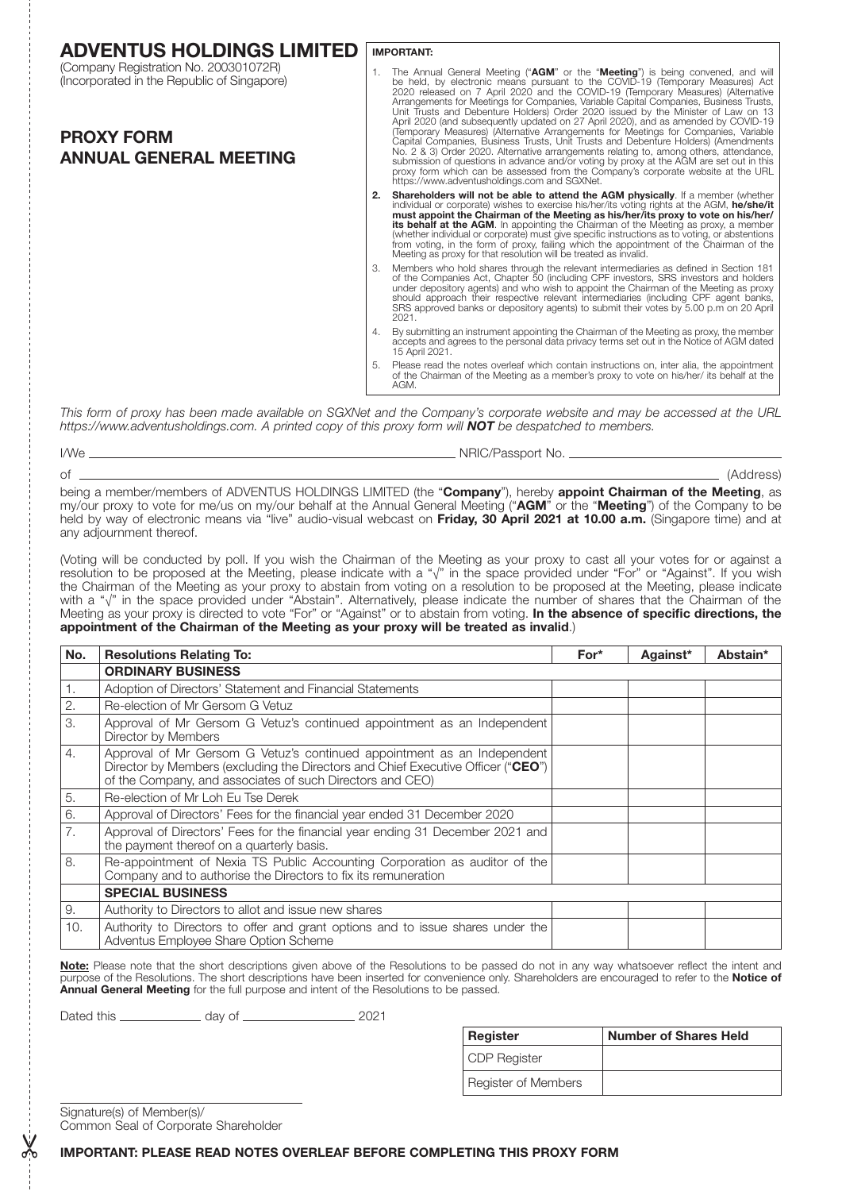| <b>ADVENTUS HOLDINGS LIMITED</b>                                                                                                           |    | <b>IMPORTANT:</b>                                                                                                                                                                                                                                                                                                                                                                                                                                                                                                                                                                                                                                                                                                                                                                                                                                                                                                                                                                |  |  |  |
|--------------------------------------------------------------------------------------------------------------------------------------------|----|----------------------------------------------------------------------------------------------------------------------------------------------------------------------------------------------------------------------------------------------------------------------------------------------------------------------------------------------------------------------------------------------------------------------------------------------------------------------------------------------------------------------------------------------------------------------------------------------------------------------------------------------------------------------------------------------------------------------------------------------------------------------------------------------------------------------------------------------------------------------------------------------------------------------------------------------------------------------------------|--|--|--|
| (Company Registration No. 200301072R)<br>(Incorporated in the Republic of Singapore)<br><b>PROXY FORM</b><br><b>ANNUAL GENERAL MEETING</b> |    | The Annual General Meeting ("AGM" or the "Meeting") is being convened, and will<br>be held, by electronic means pursuant to the COVID-19 (Temporary Measures) Act<br>2020 released on 7 April 2020 and the COVID-19 (Temporary Measures) (Alternative<br>Arrangements for Meetings for Companies, Variable Capital Companies, Business Trusts,<br>Unit Trusts and Debenture Holders) Order 2020 issued by the Minister of Law on 13<br>April 2020 (and subsequently updated on 27 April 2020), and as amended by COVID-19<br>(Temporary Measures) (Alternative Arrangements for Meetings for Companies, Variable<br>Capital Companies, Business Trusts, Unit Trusts and Debenture Holders) (Amendments<br>No. 2 & 3) Order 2020. Alternative arrangements relating to, among others, attendance,<br>submission of questions in advance and/or voting by proxy at the AGM are set out in this<br>proxy form which can be assessed from the Company's corporate website at the URL |  |  |  |
|                                                                                                                                            |    | https://www.adventusholdings.com and SGXNet.                                                                                                                                                                                                                                                                                                                                                                                                                                                                                                                                                                                                                                                                                                                                                                                                                                                                                                                                     |  |  |  |
|                                                                                                                                            | 2. | <b>Shareholders will not be able to attend the AGM physically.</b> If a member (whether<br>individual or corporate) wishes to exercise his/her/its voting rights at the AGM, he/she/it<br>must appoint the Chairman of the Meeting as his/her/its proxy to vote on his/her/<br>its behalf at the AGM. In appointing the Chairman of the Meeting as proxy, a member<br>(whether individual or corporate) must give specific instructions as to voting, or abstentions<br>from voting, in the form of proxy, failing which the appointment of the Chairman of the<br>Meeting as proxy for that resolution will be treated as invalid.                                                                                                                                                                                                                                                                                                                                              |  |  |  |
|                                                                                                                                            |    | Members who hold shares through the relevant intermediaries as defined in Section 181<br>of the Companies Act, Chapter 50 (including CPF investors, SRS investors and holders<br>under depository agents) and who wish to appoint the Chairman of the Meeting as proxy<br>should approach their respective relevant intermediaries (including CPF agent banks,<br>SRS approved banks or depository agents) to submit their votes by 5.00 p.m on 20 April<br>2021.                                                                                                                                                                                                                                                                                                                                                                                                                                                                                                                |  |  |  |
|                                                                                                                                            | 4. | By submitting an instrument appointing the Chairman of the Meeting as proxy, the member<br>accepts and agrees to the personal data privacy terms set out in the Notice of AGM dated<br>15 April 2021.                                                                                                                                                                                                                                                                                                                                                                                                                                                                                                                                                                                                                                                                                                                                                                            |  |  |  |
|                                                                                                                                            | 5. | Please read the notes overleaf which contain instructions on, inter alia, the appointment<br>of the Chairman of the Meeting as a member's proxy to vote on his/her/ its behalf at the<br>AGM.                                                                                                                                                                                                                                                                                                                                                                                                                                                                                                                                                                                                                                                                                                                                                                                    |  |  |  |

*This form of proxy has been made available on SGXNet and the Company's corporate website and may be accessed at the URL https://www.adventusholdings.com. A printed copy of this proxy form will NOT be despatched to members.*

| I/We | NRIC/Passport No.                                                                                                             |
|------|-------------------------------------------------------------------------------------------------------------------------------|
|      | (Address)                                                                                                                     |
|      | being a member/members of ADVENTUS HOLDINGS LIMITED (the " <b>Company</b> ") hereby <b>appoint Chairman of the Meeting</b> as |

being a member/members of ADVENTUS HOLDINGS LIMITED (the "Company"), hereby appoint Chairman of the Meeting, as my/our proxy to vote for me/us on my/our behalf at the Annual General Meeting ("AGM" or the "Meeting") of the Company to be held by way of electronic means via "live" audio-visual webcast on Friday, 30 April 2021 at 10.00 a.m. (Singapore time) and at any adjournment thereof.

(Voting will be conducted by poll. If you wish the Chairman of the Meeting as your proxy to cast all your votes for or against a resolution to be proposed at the Meeting, please indicate with a "√" in the space provided under "For" or "Against". If you wish the Chairman of the Meeting as your proxy to abstain from voting on a resolution to be proposed at the Meeting, please indicate with a "√" in the space provided under "Abstain". Alternatively, please indicate the number of shares that the Chairman of the Meeting as your proxy is directed to vote "For" or "Against" or to abstain from voting. In the absence of specific directions, the appointment of the Chairman of the Meeting as your proxy will be treated as invalid.)

| No. | <b>Resolutions Relating To:</b>                                                                                                                                                                                          | $For*$ | Against* | Abstain* |
|-----|--------------------------------------------------------------------------------------------------------------------------------------------------------------------------------------------------------------------------|--------|----------|----------|
|     | <b>ORDINARY BUSINESS</b>                                                                                                                                                                                                 |        |          |          |
| 1.  | Adoption of Directors' Statement and Financial Statements                                                                                                                                                                |        |          |          |
| 2.  | Re-election of Mr Gersom G Vetuz                                                                                                                                                                                         |        |          |          |
| 3.  | Approval of Mr Gersom G Vetuz's continued appointment as an Independent<br>Director by Members                                                                                                                           |        |          |          |
| 4.  | Approval of Mr Gersom G Vetuz's continued appointment as an Independent<br>Director by Members (excluding the Directors and Chief Executive Officer ("CEO")<br>of the Company, and associates of such Directors and CEO) |        |          |          |
| 5.  | Re-election of Mr Loh Eu Tse Derek                                                                                                                                                                                       |        |          |          |
| 6.  | Approval of Directors' Fees for the financial year ended 31 December 2020                                                                                                                                                |        |          |          |
| 7.  | Approval of Directors' Fees for the financial year ending 31 December 2021 and<br>the payment thereof on a quarterly basis.                                                                                              |        |          |          |
| 8.  | Re-appointment of Nexia TS Public Accounting Corporation as auditor of the<br>Company and to authorise the Directors to fix its remuneration                                                                             |        |          |          |
|     | <b>SPECIAL BUSINESS</b>                                                                                                                                                                                                  |        |          |          |
| 9.  | Authority to Directors to allot and issue new shares                                                                                                                                                                     |        |          |          |
| 10. | Authority to Directors to offer and grant options and to issue shares under the<br>Adventus Employee Share Option Scheme                                                                                                 |        |          |          |

Note: Please note that the short descriptions given above of the Resolutions to be passed do not in any way whatsoever reflect the intent and purpose of the Resolutions. The short descriptions have been inserted for convenience only. Shareholders are encouraged to refer to the **Notice of Annual General Meeting** for the full purpose and intent of the Resolutions to be passed.

Dated this day of 2021

| <b>Register</b>     | Number of Shares Held |
|---------------------|-----------------------|
| CDP Register        |                       |
| Register of Members |                       |

Signature(s) of Member(s)/ Common Seal of Corporate Shareholder

&

# IMPORTANT: PLEASE READ NOTES OVERLEAF BEFORE COMPLETING THIS PROXY FORM